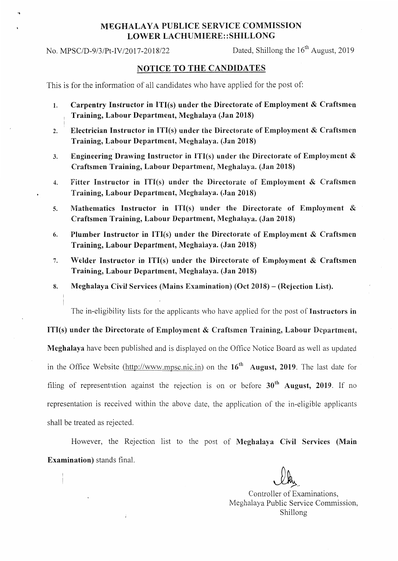## MEGHALA YA PUBLICE SERVICE COMMISSION LOWER LACHUMIERE::SHILLONG

No. MPSC/D-9/3/Pt-IV/2017-2018/22 Dated, Shillong the  $16<sup>th</sup>$  August, 2019

## NOTICE TO THE CANDIDATES

This is for the information of all candidates who have applied for the post of:

- 1. Carpentry Instructor in ITI(s) under the Directorate of Employment & Craftsmen Training, Labour Department, Meghalaya (Jan 2018)
- 2. Electrician Instructor in ITI(s) under the Directorate of Employment  $& Craftsmen$ Training, Labour Department, Meghalaya. (Jan 2018)
- 3. Engineering Drawing Instructor in ITI(s) under the Directorate of Employment & Craftsmen Training, Labour Department, Meghalaya. (Jan 2018)
- 4. Fitter Instructor in ITI(s) under the Directorate of Employment & Craftsmen Training, Labour Department, Meghalaya. (Jan 2018)
- s. Mathematics Instructor in ITI(s) under the Directorate of Employment & Craftsmen Training, Labour Department, Meghalaya. (Jan 2018)
- 6. Plumber Instructor in ITl(s) under the Directorate of Employment & Craftsmen Training, Labour Department, Meghalaya, (Jan 2018)
- 7. Welder Instructor in. ITI(s) under the Directorate of Employment & Craftsmen Training, Labour Department, Meghalaya. (Jan 2018)
- 8. Meghalaya Civil Services (Mains Examination) (Oct 2018) (Rejection List).

The in-eligibility lists for the applicants who have applied for the post of Instructors in

ITI(s) under the Directorate of Employment  $\&$  Craftsmen Training, Labour Department, Meghalaya have been published and is displayed on the Office Notice Board as well as updated in the Office Website ( $\frac{http://www.mpsc.nic.in)}{http://www.mpsc.nic.in)}$  on the 16<sup>th</sup> August, 2019. The last date for filing of representation against the rejection is on or before  $30<sup>th</sup>$  August, 2019. If no representation is received within the above date, the application of the in-eligible applicants shall be treated as rejected.

However, the Rejection list to the post of Meghalaya Civil Services (Main Examination) stands final.

Controller of Examinations, Meghalaya Public Service Commission, Shillong